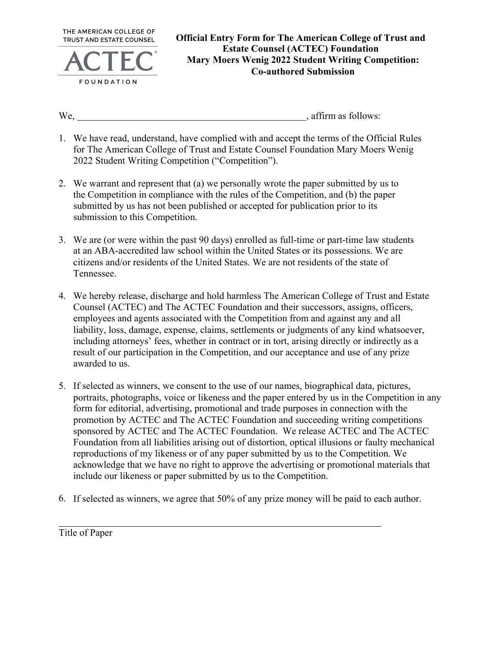

We, we have the contract of the set of the set of the set of the set of the set of the set of the set of the set of the set of the set of the set of the set of the set of the set of the set of the set of the set of the set

- 1. We have read, understand, have complied with and accept the terms of the Official Rules for The American College of Trust and Estate Counsel Foundation Mary Moers Wenig 2022 Student Writing Competition ("Competition").
- 2. We warrant and represent that (a) we personally wrote the paper submitted by us to the Competition in compliance with the rules of the Competition, and (b) the paper submitted by us has not been published or accepted for publication prior to its submission to this Competition.
- 3. We are (or were within the past 90 days) enrolled as full-time or part-time law students at an ABA-accredited law school within the United States or its possessions. We are citizens and/or residents of the United States. We are not residents of the state of Tennessee.
- 4. We hereby release, discharge and hold harmless The American College of Trust and Estate Counsel (ACTEC) and The ACTEC Foundation and their successors, assigns, officers, employees and agents associated with the Competition from and against any and all liability, loss, damage, expense, claims, settlements or judgments of any kind whatsoever, including attorneys' fees, whether in contract or in tort, arising directly or indirectly as a result of our participation in the Competition, and our acceptance and use of any prize awarded to us.
- 5. If selected as winners, we consent to the use of our names, biographical data, pictures, portraits, photographs, voice or likeness and the paper entered by us in the Competition in any form for editorial, advertising, promotional and trade purposes in connection with the promotion by ACTEC and The ACTEC Foundation and succeeding writing competitions sponsored by ACTEC and The ACTEC Foundation. We release ACTEC and The ACTEC Foundation from all liabilities arising out of distortion, optical illusions or faulty mechanical reproductions of my likeness or of any paper submitted by us to the Competition. We acknowledge that we have no right to approve the advertising or promotional materials that include our likeness or paper submitted by us to the Competition.
- 6. If selected as winners, we agree that 50% of any prize money will be paid to each author.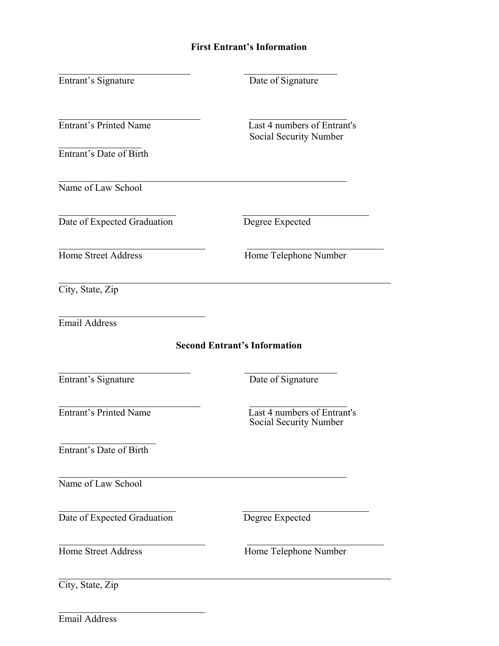## **First Entrant's Information**

| Entrant's Signature           | Date of Signature                                     |
|-------------------------------|-------------------------------------------------------|
| <b>Entrant's Printed Name</b> | Last 4 numbers of Entrant's<br>Social Security Number |
| Entrant's Date of Birth       |                                                       |
| Name of Law School            |                                                       |
| Date of Expected Graduation   | Degree Expected                                       |
| <b>Home Street Address</b>    | Home Telephone Number                                 |
| City, State, Zip              |                                                       |
| <b>Email Address</b>          |                                                       |
|                               | <b>Second Entrant's Information</b>                   |
| Entrant's Signature           | Date of Signature                                     |
| <b>Entrant's Printed Name</b> | Last 4 numbers of Entrant's<br>Social Security Number |
| Entrant's Date of Birth       |                                                       |
| Name of Law School            |                                                       |
| Date of Expected Graduation   | Degree Expected                                       |
| <b>Home Street Address</b>    | Home Telephone Number                                 |
| City, State, Zip              |                                                       |